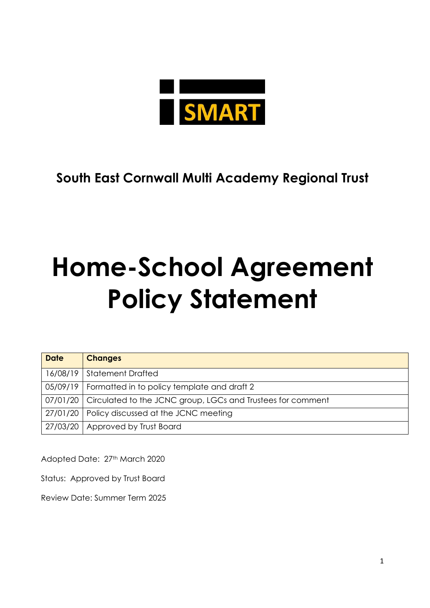

## **South East Cornwall Multi Academy Regional Trust**

## **Home-School Agreement Policy Statement**

| <b>Date</b> | <b>Changes</b>                                                         |
|-------------|------------------------------------------------------------------------|
|             | 16/08/19   Statement Drafted                                           |
|             | 05/09/19   Formatted in to policy template and draft 2                 |
|             | 07/01/20   Circulated to the JCNC group, LGCs and Trustees for comment |
|             | 27/01/20   Policy discussed at the JCNC meeting                        |
|             | 27/03/20   Approved by Trust Board                                     |

Adopted Date: 27th March 2020

Status: Approved by Trust Board

Review Date: Summer Term 2025